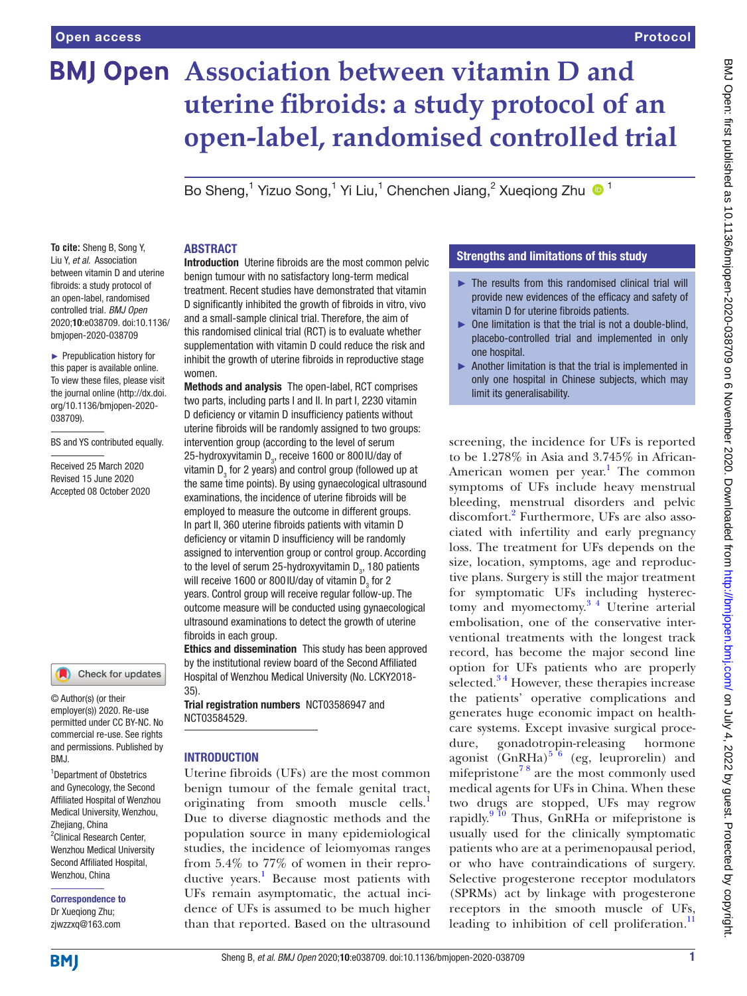# **BMJ Open** Association between vitamin D and **uterine fibroids: a study protocol of an open-label, randomised controlled trial**

Bo Sheng,<sup>1</sup> Yizuo Song,<sup>1</sup> Yi Liu,<sup>1</sup> Chenchen Jiang,<sup>2</sup> Xueqiong Zhu <sup>1</sup>

**To cite:** Sheng B, Song Y, Liu Y, *et al*. Association between vitamin D and uterine fibroids: a study protocol of an open-label, randomised controlled trial. *BMJ Open* 2020;10:e038709. doi:10.1136/ bmjopen-2020-038709

► Prepublication history for this paper is available online. To view these files, please visit the journal online (http://dx.doi. org/10.1136/bmjopen-2020- 038709).

BS and YS contributed equally.

Received 25 March 2020 Revised 15 June 2020 Accepted 08 October 2020



© Author(s) (or their employer(s)) 2020. Re-use permitted under CC BY-NC. No commercial re-use. See rights and permissions. Published by BMJ.

1 Department of Obstetrics and Gynecology, the Second Affiliated Hospital of Wenzhou Medical University, Wenzhou, Zheijang, China <sup>2</sup> Clinical Research Center, Wenzhou Medical University Second Affiliated Hospital, Wenzhou, China

Correspondence to Dr Xueqiong Zhu; zjwzzxq@163.com

#### ABSTRACT

Introduction Uterine fibroids are the most common pelvic benign tumour with no satisfactory long-term medical treatment. Recent studies have demonstrated that vitamin D significantly inhibited the growth of fibroids in vitro, vivo and a small-sample clinical trial. Therefore, the aim of this randomised clinical trial (RCT) is to evaluate whether supplementation with vitamin D could reduce the risk and inhibit the growth of uterine fibroids in reproductive stage women.

Methods and analysis The open-label, RCT comprises two parts, including parts I and II. In part I, 2230 vitamin D deficiency or vitamin D insufficiency patients without uterine fibroids will be randomly assigned to two groups: intervention group (according to the level of serum 25-hydroxyvitamin D<sub>3</sub>, receive 1600 or 800 IU/day of vitamin  $\mathsf{D}_{_3}$  for 2 years) and control group (followed up at the same time points). By using gynaecological ultrasound examinations, the incidence of uterine fibroids will be employed to measure the outcome in different groups. In part II, 360 uterine fibroids patients with vitamin D deficiency or vitamin D insufficiency will be randomly assigned to intervention group or control group. According to the level of serum 25-hydroxyvitamin  $\mathsf{D}_{_{\!3\!}}$ , 180 patients will receive 1600 or 800 IU/day of vitamin D $_{\tiny 3}$  for 2 years. Control group will receive regular follow-up. The outcome measure will be conducted using gynaecological ultrasound examinations to detect the growth of uterine fibroids in each group.

**Ethics and dissemination** This study has been approved by the institutional review board of the Second Affiliated Hospital of Wenzhou Medical University (No. LCKY2018- 35).

Trial registration numbers <NCT03586947> and <NCT03584529>.

## **INTRODUCTION**

Uterine fibroids (UFs) are the most common benign tumour of the female genital tract, originating from smooth muscle cells.<sup>[1](#page-6-0)</sup> Due to diverse diagnostic methods and the population source in many epidemiological studies, the incidence of leiomyomas ranges from 5.4% to 77% of women in their reproductive years.<sup>1</sup> Because most patients with UFs remain asymptomatic, the actual incidence of UFs is assumed to be much higher than that reported. Based on the ultrasound

# Strengths and limitations of this study

- $\blacktriangleright$  The results from this randomised clinical trial will provide new evidences of the efficacy and safety of vitamin D for uterine fibroids patients.
- ► One limitation is that the trial is not a double-blind, placebo-controlled trial and implemented in only one hospital.
- ► Another limitation is that the trial is implemented in only one hospital in Chinese subjects, which may limit its generalisability.

screening, the incidence for UFs is reported to be 1.278% in Asia and 3.745% in African-American women per year.<sup>[1](#page-6-0)</sup> The common symptoms of UFs include heavy menstrual bleeding, menstrual disorders and pelvic discomfort.<sup>[2](#page-6-1)</sup> Furthermore, UFs are also associated with infertility and early pregnancy loss. The treatment for UFs depends on the size, location, symptoms, age and reproductive plans. Surgery is still the major treatment for symptomatic UFs including hysterectomy and myomectomy.[3 4](#page-6-2) Uterine arterial embolisation, one of the conservative interventional treatments with the longest track record, has become the major second line option for UFs patients who are properly selected.<sup>34</sup> However, these therapies increase the patients' operative complications and generates huge economic impact on healthcare systems. Except invasive surgical procedure, gonadotropin-releasing hormone agonist  $(GnRHa)^{5.6}$  (eg, leuprorelin) and mifepristone<sup>78</sup> are the most commonly used medical agents for UFs in China. When these two drugs are stopped, UFs may regrow rapidly.<sup>9 10</sup> Thus, GnRHa or mifepristone is usually used for the clinically symptomatic patients who are at a perimenopausal period, or who have contraindications of surgery. Selective progesterone receptor modulators (SPRMs) act by linkage with progesterone receptors in the smooth muscle of UFs, leading to inhibition of cell proliferation.<sup>[11](#page-6-6)</sup>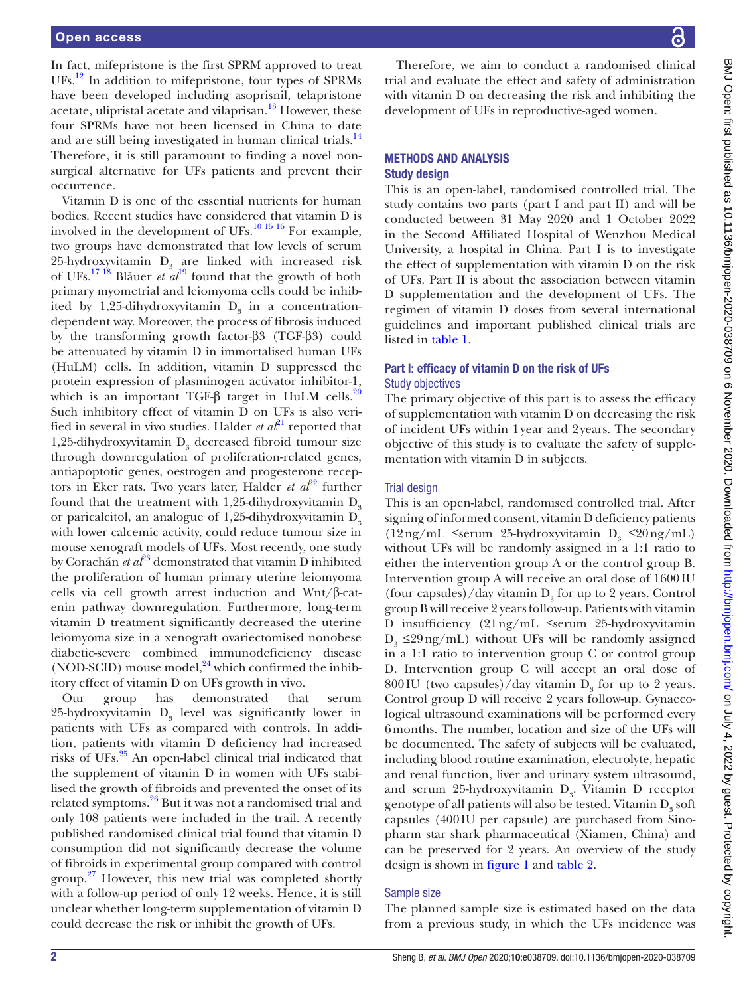In fact, mifepristone is the first SPRM approved to treat UFs.<sup>12</sup> In addition to mifepristone, four types of SPRMs have been developed including asoprisnil, telapristone acetate, ulipristal acetate and vilaprisan. $13$  However, these four SPRMs have not been licensed in China to date and are still being investigated in human clinical trials.<sup>[14](#page-6-9)</sup> Therefore, it is still paramount to finding a novel nonsurgical alternative for UFs patients and prevent their occurrence.

Vitamin D is one of the essential nutrients for human bodies. Recent studies have considered that vitamin D is involved in the development of UFs. $^{10\,15\,16}$  For example, two groups have demonstrated that low levels of serum 25-hydroxyvitamin  $D_3$  are linked with increased risk of UFs[.17 18](#page-7-0) Bläuer *et al*[19](#page-7-1) found that the growth of both primary myometrial and leiomyoma cells could be inhibited by 1,25-dihydroxyvitamin  $D_3$  in a concentrationdependent way. Moreover, the process of fibrosis induced by the transforming growth factor-β3 (TGF-β3) could be attenuated by vitamin D in immortalised human UFs (HuLM) cells. In addition, vitamin D suppressed the protein expression of plasminogen activator inhibitor-1, which is an important TGF- $\beta$  target in HuLM cells.<sup>[20](#page-7-2)</sup> Such inhibitory effect of vitamin D on UFs is also verified in several in vivo studies. Halder *et al*<sup>[21](#page-7-3)</sup> reported that 1,25-dihydroxyvitamin $\,{\rm D}_3$  decreased fibroid tumour size through downregulation of proliferation-related genes, antiapoptotic genes, oestrogen and progesterone receptors in Eker rats. Two years later, Halder *et*  $a<sup>22</sup>$  $a<sup>22</sup>$  $a<sup>22</sup>$  further found that the treatment with  $1,25$ -dihydroxyvitamin  $D<sub>s</sub>$ or paricalcitol, an analogue of  $1,25$ -dihydroxyvitamin D<sub>3</sub> with lower calcemic activity, could reduce tumour size in mouse xenograft models of UFs. Most recently, one study by Corachán *et al*<sup>[23](#page-7-5)</sup> demonstrated that vitamin D inhibited the proliferation of human primary uterine leiomyoma cells via cell growth arrest induction and Wnt/β-catenin pathway downregulation. Furthermore, long-term vitamin D treatment significantly decreased the uterine leiomyoma size in a xenograft ovariectomised nonobese diabetic-severe combined immunodeficiency disease (NOD-SCID) mouse model, $^{24}$  $^{24}$  $^{24}$  which confirmed the inhibitory effect of vitamin D on UFs growth in vivo.

Our group has demonstrated that serum 25-hydroxyvitamin  $D_3$  level was significantly lower in patients with UFs as compared with controls. In addition, patients with vitamin D deficiency had increased risks of UFs[.25](#page-7-7) An open-label clinical trial indicated that the supplement of vitamin D in women with UFs stabilised the growth of fibroids and prevented the onset of its related symptoms[.26](#page-7-8) But it was not a randomised trial and only 108 patients were included in the trail. A recently published randomised clinical trial found that vitamin D consumption did not significantly decrease the volume of fibroids in experimental group compared with control  $\gamma$ <sup>27</sup> However, this new trial was completed shortly with a follow-up period of only 12 weeks. Hence, it is still unclear whether long-term supplementation of vitamin D could decrease the risk or inhibit the growth of UFs.

Therefore, we aim to conduct a randomised clinical trial and evaluate the effect and safety of administration with vitamin D on decreasing the risk and inhibiting the development of UFs in reproductive-aged women.

#### METHODS AND ANALYSIS Study design

This is an open-label, randomised controlled trial. The study contains two parts (part I and part II) and will be conducted between 31 May 2020 and 1 October 2022 in the Second Affiliated Hospital of Wenzhou Medical University, a hospital in China. Part I is to investigate the effect of supplementation with vitamin D on the risk of UFs. Part II is about the association between vitamin D supplementation and the development of UFs. The regimen of vitamin D doses from several international guidelines and important published clinical trials are listed in [table](#page-2-0) 1.

#### Part I: efficacy of vitamin D on the risk of UFs Study objectives

The primary objective of this part is to assess the efficacy of supplementation with vitamin D on decreasing the risk of incident UFs within 1year and 2years. The secondary objective of this study is to evaluate the safety of supplementation with vitamin D in subjects.

## Trial design

This is an open-label, randomised controlled trial. After signing of informed consent, vitamin D deficiency patients (12ng/mL  $\leq$ serum 25-hydroxyvitamin D<sub>3</sub>  $\leq$ 20ng/mL) without UFs will be randomly assigned in a 1:1 ratio to either the intervention group A or the control group B. Intervention group A will receive an oral dose of 1600IU (four capsules)/day vitamin  $\mathbf{D}_{_3}$  for up to 2 years. Control group B will receive 2 years follow-up. Patients with vitamin D insufficiency (21ng/mL ≤serum 25-hydroxyvitamin  $D_s \leq 29 \text{ ng/mL}$  without UFs will be randomly assigned in a 1:1 ratio to intervention group C or control group D. Intervention group C will accept an oral dose of 800IU (two capsules)/day vitamin  $D_3$  for up to 2 years. Control group D will receive 2 years follow-up. Gynaecological ultrasound examinations will be performed every 6months. The number, location and size of the UFs will be documented. The safety of subjects will be evaluated, including blood routine examination, electrolyte, hepatic and renal function, liver and urinary system ultrasound, and serum 25-hydroxyvitamin  $D_3$ . Vitamin D receptor genotype of all patients will also be tested. Vitamin  $\mathbf{D}_{_{\mathrm{3}}}$  soft capsules (400IU per capsule) are purchased from Sinopharm star shark pharmaceutical (Xiamen, China) and can be preserved for 2 years. An overview of the study design is shown in [figure](#page-3-0) 1 and [table](#page-3-1) 2.

## Sample size

The planned sample size is estimated based on the data from a previous study, in which the UFs incidence was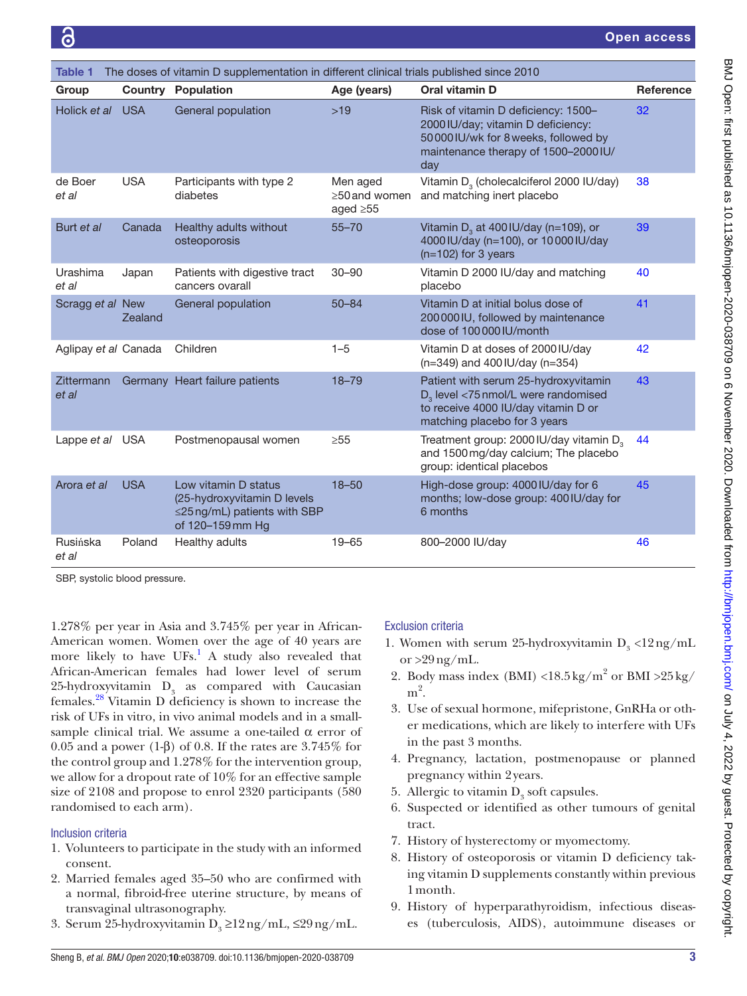<span id="page-2-0"></span>

| The doses of vitamin D supplementation in different clinical trials published since 2010<br><b>Table 1</b> |            |                                                                                                         |                                                   |                                                                                                                                                                 |           |  |  |  |  |
|------------------------------------------------------------------------------------------------------------|------------|---------------------------------------------------------------------------------------------------------|---------------------------------------------------|-----------------------------------------------------------------------------------------------------------------------------------------------------------------|-----------|--|--|--|--|
| Group                                                                                                      |            | <b>Country Population</b>                                                                               | Age (years)                                       | Oral vitamin D                                                                                                                                                  | Reference |  |  |  |  |
| Holick et al                                                                                               | <b>USA</b> | General population                                                                                      | $>19$                                             | Risk of vitamin D deficiency: 1500-<br>2000 IU/day; vitamin D deficiency:<br>500001U/wk for 8 weeks, followed by<br>maintenance therapy of 1500-2000 IU/<br>day | 32        |  |  |  |  |
| de Boer<br>et al                                                                                           | <b>USA</b> | Participants with type 2<br>diabetes                                                                    | Men aged<br>$\geq$ 50 and women<br>aged $\geq 55$ | Vitamin D <sub>3</sub> (cholecalciferol 2000 IU/day)<br>and matching inert placebo                                                                              | 38        |  |  |  |  |
| Burt et al                                                                                                 | Canada     | Healthy adults without<br>osteoporosis                                                                  | $55 - 70$                                         | Vitamin $D_3$ at 400 IU/day (n=109), or<br>4000 IU/day (n=100), or 10000 IU/day<br>$(n=102)$ for 3 years                                                        | 39        |  |  |  |  |
| Urashima<br>et al                                                                                          | Japan      | Patients with digestive tract<br>cancers ovarall                                                        | $30 - 90$                                         | Vitamin D 2000 IU/day and matching<br>placebo                                                                                                                   | 40        |  |  |  |  |
| Scragg et al New                                                                                           | Zealand    | General population                                                                                      | $50 - 84$                                         | Vitamin D at initial bolus dose of<br>2000001U, followed by maintenance<br>dose of 100000 IU/month                                                              | 41        |  |  |  |  |
| Aglipay et al Canada                                                                                       |            | Children                                                                                                | $1 - 5$                                           | Vitamin D at doses of 2000 IU/day<br>$(n=349)$ and 400 IU/day $(n=354)$                                                                                         | 42        |  |  |  |  |
| Zittermann<br>et al                                                                                        |            | Germany Heart failure patients                                                                          | $18 - 79$                                         | Patient with serum 25-hydroxyvitamin<br>D <sub>3</sub> level <75 nmol/L were randomised<br>to receive 4000 IU/day vitamin D or<br>matching placebo for 3 years  | 43        |  |  |  |  |
| Lappe et al USA                                                                                            |            | Postmenopausal women                                                                                    | $\geq 55$                                         | Treatment group: 2000 IU/day vitamin D <sub>3</sub><br>and 1500 mg/day calcium; The placebo<br>group: identical placebos                                        | 44        |  |  |  |  |
| Arora et al                                                                                                | <b>USA</b> | Low vitamin D status<br>(25-hydroxyvitamin D levels<br>≤25 ng/mL) patients with SBP<br>of 120-159 mm Hg | $18 - 50$                                         | High-dose group: 4000 IU/day for 6<br>months; low-dose group: 400 IU/day for<br>6 months                                                                        | 45        |  |  |  |  |
| Rusińska<br>et al                                                                                          | Poland     | Healthy adults                                                                                          | $19 - 65$                                         | 800-2000 IU/day                                                                                                                                                 | 46        |  |  |  |  |
| SBP, systolic blood pressure.                                                                              |            |                                                                                                         |                                                   |                                                                                                                                                                 |           |  |  |  |  |

1.278% per year in Asia and 3.745% per year in African-American women. Women over the age of 40 years are more likely to have  $UFs<sup>1</sup>$ . A study also revealed that African-American females had lower level of serum 25-hydroxyvitamin  $D_3$  as compared with Caucasian females[.28](#page-7-10) Vitamin D deficiency is shown to increase the risk of UFs in vitro, in vivo animal models and in a smallsample clinical trial. We assume a one-tailed  $\alpha$  error of 0.05 and a power (1-β) of 0.8. If the rates are 3.745% for the control group and 1.278% for the intervention group, we allow for a dropout rate of 10% for an effective sample size of 2108 and propose to enrol 2320 participants (580 randomised to each arm).

# Inclusion criteria

- 1. Volunteers to participate in the study with an informed consent.
- 2. Married females aged 35–50 who are confirmed with a normal, fibroid-free uterine structure, by means of transvaginal ultrasonography.
- 3. Serum 25-hydroxyvitamin  $D_3 \geq 12 \frac{mg}{mL}$ ,  $\leq 29 \frac{ng}{mL}$ .

# Exclusion criteria

- 1. Women with serum 25-hydroxyvitamin $\mathrm{D_{3}}$  <12 ng/mL or  $>29$  ng/mL.
- 2. Body mass index (BMI) <18.5 kg/m<sup>2</sup> or BMI >25 kg/  $m^2$ .
- 3. Use of sexual hormone, mifepristone, GnRHa or other medications, which are likely to interfere with UFs in the past 3 months.
- 4. Pregnancy, lactation, postmenopause or planned pregnancy within 2years.
- 5. Allergic to vitamin  $D_3$  soft capsules.
- 6. Suspected or identified as other tumours of genital tract.
- 7. History of hysterectomy or myomectomy.
- 8. History of osteoporosis or vitamin D deficiency taking vitamin D supplements constantly within previous 1month.
- 9. History of hyperparathyroidism, infectious diseases (tuberculosis, AIDS), autoimmune diseases or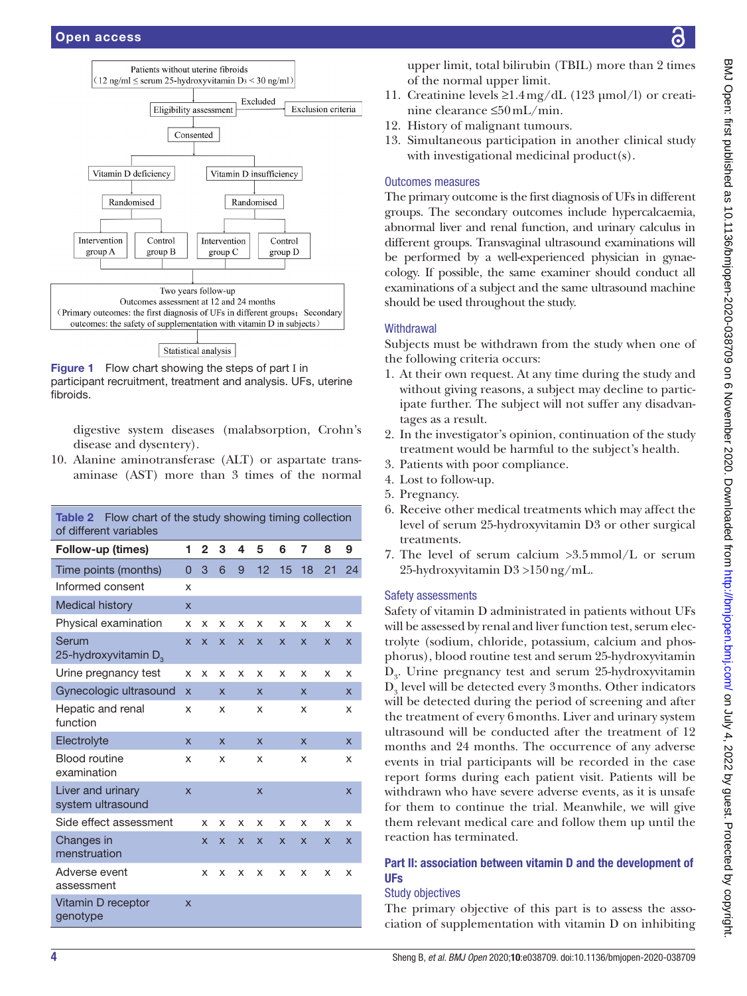

<span id="page-3-0"></span>Figure 1 Flow chart showing the steps of part I in participant recruitment, treatment and analysis. UFs, uterine fibroids.

digestive system diseases (malabsorption, Crohn's disease and dysentery).

10. Alanine aminotransferase (ALT) or aspartate transaminase (AST) more than 3 times of the normal

<span id="page-3-1"></span>

| Table 2 Flow chart of the study showing timing collection<br>of different variables |                         |              |              |              |                         |              |              |              |              |
|-------------------------------------------------------------------------------------|-------------------------|--------------|--------------|--------------|-------------------------|--------------|--------------|--------------|--------------|
| Follow-up (times)                                                                   | 1                       | $\mathbf{2}$ | 3            | 4            | 5                       | 6            | 7            | 8            | 9            |
| Time points (months)                                                                | 0                       | 3            | 6            | 9            | 12                      | 15           | 18           | 21           | 24           |
| Informed consent                                                                    | x                       |              |              |              |                         |              |              |              |              |
| <b>Medical history</b>                                                              | $\overline{\mathsf{x}}$ |              |              |              |                         |              |              |              |              |
| Physical examination                                                                |                         | X            | X            | x            | x                       | x            | x            | x            | х            |
| Serum<br>25-hydroxyvitamin D <sub>3</sub>                                           | $\overline{\mathsf{x}}$ | $\mathsf{x}$ | $\mathsf{x}$ | $\mathsf{x}$ | $\mathsf{x}$            | $\mathsf{x}$ | $\mathsf{x}$ | $\mathsf{x}$ | x            |
| Urine pregnancy test                                                                | x                       | X            | X            | x            | x                       | x            | x            | X            | х            |
| Gynecologic ultrasound                                                              | $\mathsf{x}$            |              | $\mathsf{x}$ |              | $\overline{\mathsf{x}}$ |              | $\mathsf{x}$ |              | $\mathsf{x}$ |
| Hepatic and renal<br>function                                                       | x                       |              | X            |              | x                       |              | x            |              | X            |
| Electrolyte                                                                         | $\overline{\mathsf{x}}$ |              | X            |              | $\overline{\mathsf{x}}$ |              | X            |              | x            |
| <b>Blood routine</b><br>examination                                                 | x                       |              | X            |              | x                       |              | X            |              | x            |
| Liver and urinary<br>system ultrasound                                              | $\mathsf{x}$            |              |              |              | $\overline{\mathsf{x}}$ |              |              |              | X            |
| Side effect assessment                                                              |                         | X            | x            | x            | x                       | x            | x            | x            | X            |
| Changes in<br>menstruation                                                          |                         | $\mathsf{x}$ | $\mathsf{x}$ | $\mathsf{x}$ | $\mathsf{x}$            | X            | $\mathsf{x}$ | $\mathsf{x}$ | $\mathsf{x}$ |
| Adverse event<br>assessment                                                         |                         | X            | X            | X            | x                       | x            | X            | $\mathsf{x}$ | x            |
| Vitamin D receptor<br>genotype                                                      | $\mathsf{x}$            |              |              |              |                         |              |              |              |              |

upper limit, total bilirubin (TBIL) more than 2 times of the normal upper limit.

- 11. Creatinine levels ≥1.4mg/dL (123 μmol/l) or creatinine clearance ≤50mL/min.
- 12. History of malignant tumours.
- 13. Simultaneous participation in another clinical study with investigational medicinal product(s).

#### Outcomes measures

The primary outcome is the first diagnosis of UFs in different groups. The secondary outcomes include hypercalcaemia, abnormal liver and renal function, and urinary calculus in different groups. Transvaginal ultrasound examinations will be performed by a well-experienced physician in gynaecology. If possible, the same examiner should conduct all examinations of a subject and the same ultrasound machine should be used throughout the study.

## **Withdrawal**

Subjects must be withdrawn from the study when one of the following criteria occurs:

- 1. At their own request. At any time during the study and without giving reasons, a subject may decline to participate further. The subject will not suffer any disadvantages as a result.
- 2. In the investigator's opinion, continuation of the study treatment would be harmful to the subject's health.
- 3. Patients with poor compliance.
- 4. Lost to follow-up.
- 5. Pregnancy.
- 6. Receive other medical treatments which may affect the level of serum 25-hydroxyvitamin D3 or other surgical treatments.
- 7. The level of serum calcium >3.5mmol/L or serum 25-hydroxyvitamin D3 >150ng/mL.

## Safety assessments

Safety of vitamin D administrated in patients without UFs will be assessed by renal and liver function test, serum electrolyte (sodium, chloride, potassium, calcium and phosphorus), blood routine test and serum 25-hydroxyvitamin  $D_{3}$ . Urine pregnancy test and serum 25-hydroxyvitamin  $\mathbf{D}_{\mathbf{s}}$  level will be detected every 3 months. Other indicators will be detected during the period of screening and after the treatment of every 6months. Liver and urinary system ultrasound will be conducted after the treatment of 12 months and 24 months. The occurrence of any adverse events in trial participants will be recorded in the case report forms during each patient visit. Patients will be withdrawn who have severe adverse events, as it is unsafe for them to continue the trial. Meanwhile, we will give them relevant medical care and follow them up until the reaction has terminated.

# Part II: association between vitamin D and the development of UFs

## Study objectives

The primary objective of this part is to assess the association of supplementation with vitamin D on inhibiting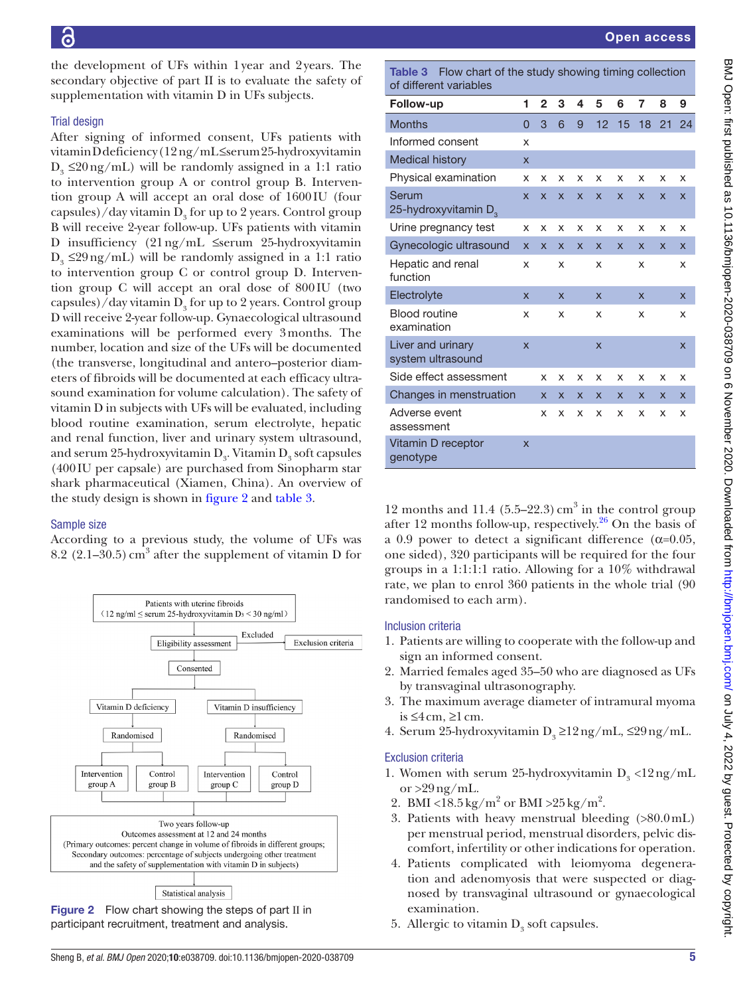the development of UFs within 1year and 2years. The secondary objective of part II is to evaluate the safety of supplementation with vitamin D in UFs subjects.

#### Trial design

After signing of informed consent, UFs patients with vitamin D deficiency (12ng/mL ≤serum 25-hydroxyvitamin  $D_3 \leq 20 \,\text{ng/mL}$ ) will be randomly assigned in a 1:1 ratio to intervention group A or control group B. Intervention group A will accept an oral dose of 1600IU (four capsules)/day vitamin $\mathrm{D}_{\mathfrak{z}}$  for up to 2 years. Control group B will receive 2-year follow-up. UFs patients with vitamin D insufficiency (21ng/mL ≤serum 25-hydroxyvitamin  $D_s \leq 29 \text{ ng/mL}$  will be randomly assigned in a 1:1 ratio to intervention group C or control group D. Intervention group C will accept an oral dose of 800IU (two capsules)/day vitamin $\mathrm{D}_{\mathfrak{z}}$  for up to 2 years. Control group D will receive 2-year follow-up. Gynaecological ultrasound examinations will be performed every 3months. The number, location and size of the UFs will be documented (the transverse, longitudinal and antero–posterior diameters of fibroids will be documented at each efficacy ultrasound examination for volume calculation). The safety of vitamin D in subjects with UFs will be evaluated, including blood routine examination, serum electrolyte, hepatic and renal function, liver and urinary system ultrasound, and serum 25-hydroxyvitamin  $\mathrm{D}_{\mathrm{s}}.$  Vitamin  $\mathrm{D}_{\mathrm{s}}$  soft capsules (400IU per capsale) are purchased from Sinopharm star shark pharmaceutical (Xiamen, China). An overview of the study design is shown in [figure](#page-4-0) 2 and [table](#page-4-1) 3.

#### Sample size

According to a previous study, the volume of UFs was 8.2  $(2.1-30.5)$  cm<sup>3</sup> after the supplement of vitamin D for



<span id="page-4-0"></span>Figure 2 Flow chart showing the steps of part II in participant recruitment, treatment and analysis.

<span id="page-4-1"></span>Table 3 Flow chart of the study showing timing collection of different variables

| ul ullieleht vahaules                     |                         |                         |                         |              |              |              |                         |              |                         |
|-------------------------------------------|-------------------------|-------------------------|-------------------------|--------------|--------------|--------------|-------------------------|--------------|-------------------------|
| <b>Follow-up</b>                          | 1                       | 2                       | 3                       | 4            | 5            | 6            | 7                       | 8            | 9                       |
| <b>Months</b>                             | 0                       | 3                       | 6                       | 9            | 12           | 15           | 18                      | 21           | 24                      |
| Informed consent                          | X                       |                         |                         |              |              |              |                         |              |                         |
| <b>Medical history</b>                    | X                       |                         |                         |              |              |              |                         |              |                         |
| Physical examination                      | x                       | x                       | x                       | X            | X            | X            | x                       | X            | x                       |
| Serum<br>25-hydroxyvitamin D <sub>3</sub> | $\overline{\mathsf{x}}$ | $\overline{\mathsf{x}}$ | $\mathsf{x}$            | $\mathsf{x}$ | $\mathsf{x}$ | $\mathsf{x}$ | $\overline{\mathsf{x}}$ | $\mathsf{x}$ | $\mathsf{x}$            |
| Urine pregnancy test                      | X                       | x                       | x                       | X            | x            | X            | x                       | X            | x                       |
| Gynecologic ultrasound                    | $\overline{\mathsf{x}}$ | $\overline{\mathsf{x}}$ | $\overline{\mathsf{x}}$ | $\mathsf{x}$ | $\mathsf{x}$ | $\mathsf{x}$ | $\overline{\mathsf{x}}$ | $\mathsf{x}$ | $\overline{\mathsf{x}}$ |
| Hepatic and renal<br>function             | X                       |                         | X                       |              | X            |              | X                       |              | x                       |
| Electrolyte                               | $\overline{\mathsf{x}}$ |                         | $\mathsf{x}$            |              | $\mathsf{x}$ |              | $\overline{\mathsf{x}}$ |              | $\overline{\mathsf{x}}$ |
| <b>Blood routine</b><br>examination       | X                       |                         | x                       |              | X            |              | X                       |              | x                       |
| Liver and urinary<br>system ultrasound    | $\overline{\mathsf{x}}$ |                         |                         |              | X            |              |                         |              | $\overline{\mathsf{x}}$ |
| Side effect assessment                    |                         | x                       | x                       | X            | X            | X            | x                       | X            | X                       |
| Changes in menstruation                   |                         | $\mathsf{x}$            | X                       | $\mathsf{x}$ | X            | $\mathsf{x}$ | $\mathsf{x}$            | $\mathsf{x}$ | X                       |
| Adverse event<br>assessment               |                         | x                       | x                       | X            | x            | X            | X                       | X            | x                       |
| Vitamin D receptor<br>genotype            | $\mathsf{x}$            |                         |                         |              |              |              |                         |              |                         |

12 months and 11.4  $(5.5-22.3)$  cm<sup>3</sup> in the control group after 12 months follow-up, respectively.<sup>26</sup> On the basis of a 0.9 power to detect a significant difference ( $\alpha$ =0.05, one sided), 320 participants will be required for the four groups in a 1:1:1:1 ratio. Allowing for a 10% withdrawal rate, we plan to enrol 360 patients in the whole trial (90 randomised to each arm).

#### Inclusion criteria

- 1. Patients are willing to cooperate with the follow-up and sign an informed consent.
- 2. Married females aged 35–50 who are diagnosed as UFs by transvaginal ultrasonography.
- 3. The maximum average diameter of intramural myoma is ≤4cm, ≥1cm.
- 4. Serum 25-hydroxyvitamin  $D_2 \geq 12 \,\text{ng/mL}$ ,  $\leq 29 \,\text{ng/mL}$ .

#### Exclusion criteria

- 1. Women with serum 25-hydroxyvitamin $\mathrm{D_{3}}$  <12 ng/mL or  $>29$ ng/mL.
- 2. BMI <18.5 kg/m<sup>2</sup> or BMI >25 kg/m<sup>2</sup>.
- 3. Patients with heavy menstrual bleeding (>80.0mL) per menstrual period, menstrual disorders, pelvic discomfort, infertility or other indications for operation.
- 4. Patients complicated with leiomyoma degeneration and adenomyosis that were suspected or diagnosed by transvaginal ultrasound or gynaecological examination.
- 5. Allergic to vitamin  $D_3$  soft capsules.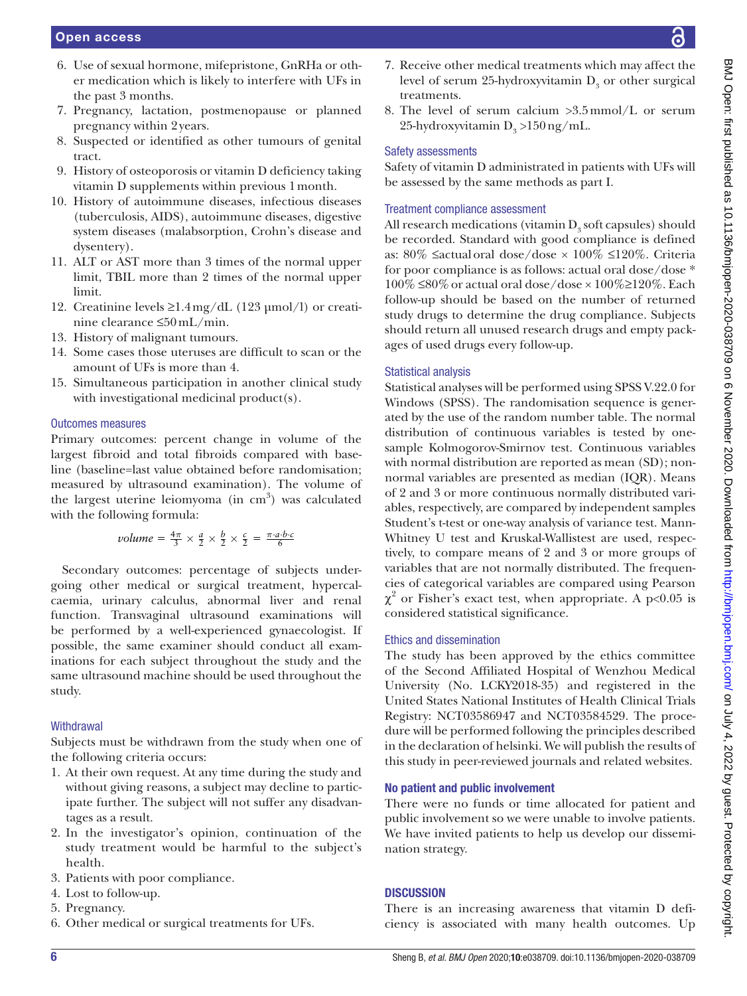- 6. Use of sexual hormone, mifepristone, GnRHa or other medication which is likely to interfere with UFs in the past 3 months.
- 7. Pregnancy, lactation, postmenopause or planned pregnancy within 2years.
- 8. Suspected or identified as other tumours of genital tract.
- 9. History of osteoporosis or vitamin D deficiency taking vitamin D supplements within previous 1month.
- 10. History of autoimmune diseases, infectious diseases (tuberculosis, AIDS), autoimmune diseases, digestive system diseases (malabsorption, Crohn's disease and dysentery).
- 11. ALT or AST more than 3 times of the normal upper limit, TBIL more than 2 times of the normal upper limit.
- 12. Creatinine levels ≥1.4mg/dL (123 μmol/l) or creatinine clearance ≤50mL/min.
- 13. History of malignant tumours.
- 14. Some cases those uteruses are difficult to scan or the amount of UFs is more than 4.
- 15. Simultaneous participation in another clinical study with investigational medicinal product(s).

#### Outcomes measures

Primary outcomes: percent change in volume of the largest fibroid and total fibroids compared with baseline (baseline=last value obtained before randomisation; measured by ultrasound examination). The volume of the largest uterine leiomyoma (in  $cm<sup>3</sup>$ ) was calculated with the following formula:

$$
volume = \frac{4\pi}{3} \times \frac{a}{2} \times \frac{b}{2} \times \frac{c}{2} = \frac{\pi \cdot a \cdot b \cdot c}{6}
$$

Secondary outcomes: percentage of subjects undergoing other medical or surgical treatment, hypercalcaemia, urinary calculus, abnormal liver and renal function. Transvaginal ultrasound examinations will be performed by a well-experienced gynaecologist. If possible, the same examiner should conduct all examinations for each subject throughout the study and the same ultrasound machine should be used throughout the study.

## **Withdrawal**

Subjects must be withdrawn from the study when one of the following criteria occurs:

- 1. At their own request. At any time during the study and without giving reasons, a subject may decline to participate further. The subject will not suffer any disadvantages as a result.
- 2. In the investigator's opinion, continuation of the study treatment would be harmful to the subject's health.
- 3. Patients with poor compliance.
- 4. Lost to follow-up.
- 5. Pregnancy.
- 6. Other medical or surgical treatments for UFs.
- 7. Receive other medical treatments which may affect the level of serum 25-hydroxyvitamin $\mathbf{D}_\mathrm{s}$  or other surgical treatments.
- 8. The level of serum calcium >3.5mmol/L or serum 25-hydroxyvitamin  $D_3 > 150$  ng/mL.

## Safety assessments

Safety of vitamin D administrated in patients with UFs will be assessed by the same methods as part I.

# Treatment compliance assessment

All research medications (vitamin  $D_{3}$  soft capsules) should be recorded. Standard with good compliance is defined as: 80% ≤actualoral dose/dose × 100% ≤120%. Criteria for poor compliance is as follows: actual oral dose/dose \*  $100\% \leq 80\%$  or actual oral dose/dose ×  $100\% \geq 120\%$ . Each follow-up should be based on the number of returned study drugs to determine the drug compliance. Subjects should return all unused research drugs and empty packages of used drugs every follow-up.

# Statistical analysis

Statistical analyses will be performed using SPSS V.22.0 for Windows (SPSS). The randomisation sequence is generated by the use of the random number table. The normal distribution of continuous variables is tested by onesample Kolmogorov-Smirnov test. Continuous variables with normal distribution are reported as mean (SD); nonnormal variables are presented as median (IQR). Means of 2 and 3 or more continuous normally distributed variables, respectively, are compared by independent samples Student's t-test or one-way analysis of variance test. Mann-Whitney U test and Kruskal-Wallistest are used, respectively, to compare means of 2 and 3 or more groups of variables that are not normally distributed. The frequencies of categorical variables are compared using Pearson  $\chi^2$  or Fisher's exact test, when appropriate. A p<0.05 is considered statistical significance.

## Ethics and dissemination

The study has been approved by the ethics committee of the Second Affiliated Hospital of Wenzhou Medical University (No. LCKY2018-35) and registered in the United States National Institutes of Health Clinical Trials Registry: NCT03586947 and NCT03584529. The procedure will be performed following the principles described in the declaration of helsinki. We will publish the results of this study in peer-reviewed journals and related websites.

## No patient and public involvement

There were no funds or time allocated for patient and public involvement so we were unable to involve patients. We have invited patients to help us develop our dissemination strategy.

# **DISCUSSION**

There is an increasing awareness that vitamin D deficiency is associated with many health outcomes. Up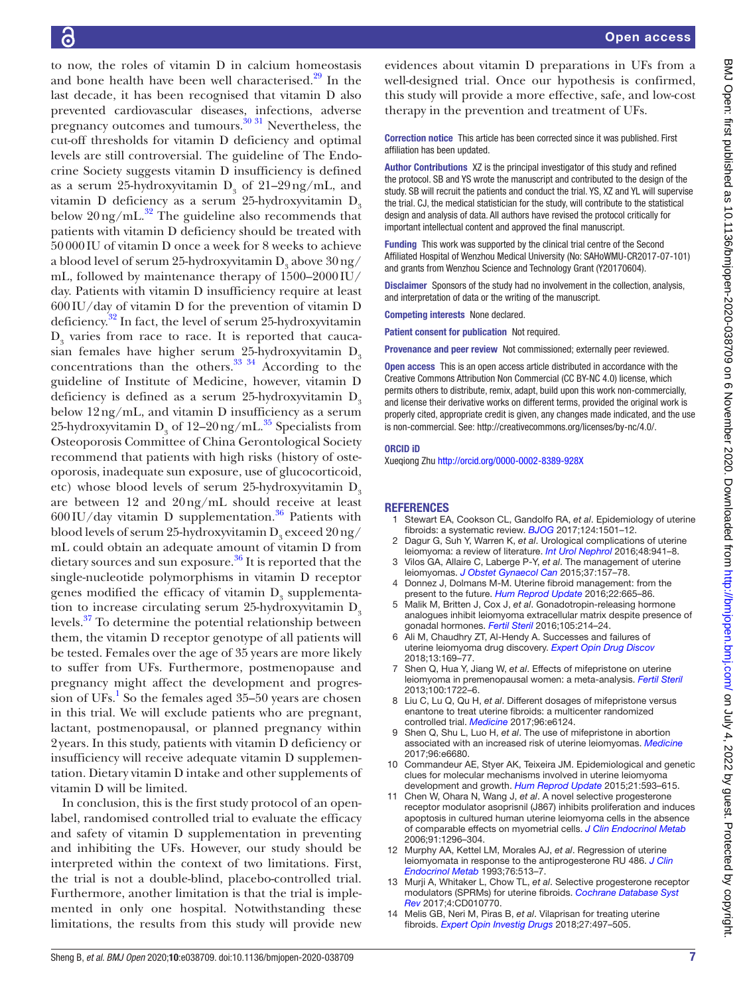to now, the roles of vitamin D in calcium homeostasis and bone health have been well characterised. $29$  In the last decade, it has been recognised that vitamin D also prevented cardiovascular diseases, infections, adverse pregnancy outcomes and tumours.<sup>30 31</sup> Nevertheless, the cut-off thresholds for vitamin D deficiency and optimal levels are still controversial. The guideline of The Endocrine Society suggests vitamin D insufficiency is defined as a serum 25-hydroxyvitamin  $D_3$  of 21–29 ng/mL, and vitamin D deficiency as a serum 25-hydroxyvitamin D<sub>3</sub> below  $20 \text{ ng/mL}^{32}$  $20 \text{ ng/mL}^{32}$  $20 \text{ ng/mL}^{32}$ . The guideline also recommends that patients with vitamin D deficiency should be treated with 50000IU of vitamin D once a week for 8 weeks to achieve a blood level of serum  $25$ -hydroxyvitamin  $\mathrm{D}_{\mathrm{s}}$  above  $30\,\mathrm{ng}/$ mL, followed by maintenance therapy of 1500–2000IU/ day. Patients with vitamin D insufficiency require at least 600IU/day of vitamin D for the prevention of vitamin D deficiency.<sup>[32](#page-7-11)</sup> In fact, the level of serum 25-hydroxyvitamin  $D_3$  varies from race to race. It is reported that caucasian females have higher serum 25-hydroxyvitamin  $D_3$ concentrations than the others. $33 \frac{34}{1}$  According to the guideline of Institute of Medicine, however, vitamin D deficiency is defined as a serum  $25$ -hydroxyvitamin  $D<sub>s</sub>$ below 12ng/mL, and vitamin D insufficiency as a serum 25-hydroxyvitamin  $D_3$  of 12–20 ng/mL. $^{35}$  Specialists from Osteoporosis Committee of China Gerontological Society recommend that patients with high risks (history of osteoporosis, inadequate sun exposure, use of glucocorticoid, etc) whose blood levels of serum 25-hydroxyvitamin D<sub>2</sub> are between 12 and 20ng/mL should receive at least  $600$ IU/day vitamin D supplementation.<sup>[36](#page-7-25)</sup> Patients with blood levels of serum 25-hydroxyvitamin  $\mathrm{D}_{\mathrm{s}}$  exceed  $20\,\mathrm{ng}/$ mL could obtain an adequate amount of vitamin D from dietary sources and sun exposure.<sup>36</sup> It is reported that the single-nucleotide polymorphisms in vitamin D receptor genes modified the efficacy of vitamin  $D_{3}$  supplementation to increase circulating serum 25-hydroxyvitamin  $D<sub>3</sub>$ levels. $37$  To determine the potential relationship between them, the vitamin D receptor genotype of all patients will be tested. Females over the age of 35 years are more likely to suffer from UFs. Furthermore, postmenopause and pregnancy might affect the development and progres- $\sin$  of UFs.<sup>[1](#page-6-0)</sup> So the females aged 35–50 years are chosen in this trial. We will exclude patients who are pregnant, lactant, postmenopausal, or planned pregnancy within 2years. In this study, patients with vitamin D deficiency or insufficiency will receive adequate vitamin D supplementation. Dietary vitamin D intake and other supplements of vitamin D will be limited.

In conclusion, this is the first study protocol of an openlabel, randomised controlled trial to evaluate the efficacy and safety of vitamin D supplementation in preventing and inhibiting the UFs. However, our study should be interpreted within the context of two limitations. First, the trial is not a double-blind, placebo-controlled trial. Furthermore, another limitation is that the trial is implemented in only one hospital. Notwithstanding these limitations, the results from this study will provide new

BMJ Open: first published as 10.1136/bmjopen-2020-038709 on 6 November 2020. Downloaded from http://bmjopen.bmj.com/ on July 4, 2022 by guest. Protected by copyright. BMJ Open: first published as 10.1136/bmjopen-2020-038709 on 6 November 2020. Downloaded from <http://bmjopen.bmj.com/> on July 4, 2022 by guest. Protected by copyright.

evidences about vitamin D preparations in UFs from a well-designed trial. Once our hypothesis is confirmed, this study will provide a more effective, safe, and low-cost therapy in the prevention and treatment of UFs.

Correction notice This article has been corrected since it was published. First affiliation has been updated.

Author Contributions XZ is the principal investigator of this study and refined the protocol. SB and YS wrote the manuscript and contributed to the design of the study. SB will recruit the patients and conduct the trial. YS, XZ and YL will supervise the trial. CJ, the medical statistician for the study, will contribute to the statistical design and analysis of data. All authors have revised the protocol critically for important intellectual content and approved the final manuscript.

Funding This work was supported by the clinical trial centre of the Second Affiliated Hospital of Wenzhou Medical University (No: SAHoWMU-CR2017-07-101) and grants from Wenzhou Science and Technology Grant (Y20170604).

Disclaimer Sponsors of the study had no involvement in the collection, analysis, and interpretation of data or the writing of the manuscript.

Competing interests None declared.

Patient consent for publication Not required.

Provenance and peer review Not commissioned; externally peer reviewed.

Open access This is an open access article distributed in accordance with the Creative Commons Attribution Non Commercial (CC BY-NC 4.0) license, which permits others to distribute, remix, adapt, build upon this work non-commercially, and license their derivative works on different terms, provided the original work is properly cited, appropriate credit is given, any changes made indicated, and the use is non-commercial. See: [http://creativecommons.org/licenses/by-nc/4.0/.](http://creativecommons.org/licenses/by-nc/4.0/)

#### ORCID iD

Xueqiong Zhu<http://orcid.org/0000-0002-8389-928X>

#### <span id="page-6-0"></span>**REFERENCES**

- 1 Stewart EA, Cookson CL, Gandolfo RA, *et al*. Epidemiology of uterine fibroids: a systematic review. *[BJOG](http://dx.doi.org/10.1111/1471-0528.14640)* 2017;124:1501–12.
- <span id="page-6-1"></span>2 Dagur G, Suh Y, Warren K, *et al*. Urological complications of uterine leiomyoma: a review of literature. *[Int Urol Nephrol](http://dx.doi.org/10.1007/s11255-016-1248-5)* 2016;48:941–8.
- <span id="page-6-2"></span>3 Vilos GA, Allaire C, Laberge P-Y, *et al*. The management of uterine leiomyomas. *[J Obstet Gynaecol Can](http://dx.doi.org/10.1016/S1701-2163(15)30338-8)* 2015;37:157–78.
- 4 Donnez J, Dolmans M-M. Uterine fibroid management: from the present to the future. *[Hum Reprod Update](http://dx.doi.org/10.1093/humupd/dmw023)* 2016;22:665–86.
- <span id="page-6-3"></span>5 Malik M, Britten J, Cox J, *et al*. Gonadotropin-releasing hormone analogues inhibit leiomyoma extracellular matrix despite presence of gonadal hormones. *[Fertil Steril](http://dx.doi.org/10.1016/j.fertnstert.2015.09.006)* 2016;105:214–24.
- Ali M, Chaudhry ZT, Al-Hendy A. Successes and failures of uterine leiomyoma drug discovery. *[Expert Opin Drug Discov](http://dx.doi.org/10.1080/17460441.2018.1417381)* 2018;13:169–77.
- <span id="page-6-4"></span>7 Shen Q, Hua Y, Jiang W, *et al*. Effects of mifepristone on uterine leiomyoma in premenopausal women: a meta-analysis. *[Fertil Steril](http://dx.doi.org/10.1016/j.fertnstert.2013.08.039)* 2013;100:1722–6.
- 8 Liu C, Lu Q, Qu H, *et al*. Different dosages of mifepristone versus enantone to treat uterine fibroids: a multicenter randomized controlled trial. *[Medicine](http://dx.doi.org/10.1097/MD.0000000000006124)* 2017;96:e6124.
- <span id="page-6-5"></span>9 Shen Q, Shu L, Luo H, *et al*. The use of mifepristone in abortion associated with an increased risk of uterine leiomyomas. *[Medicine](http://dx.doi.org/10.1097/MD.0000000000006680)* 2017;96:e6680.
- <span id="page-6-10"></span>10 Commandeur AE, Styer AK, Teixeira JM. Epidemiological and genetic clues for molecular mechanisms involved in uterine leiomyoma development and growth. *[Hum Reprod Update](http://dx.doi.org/10.1093/humupd/dmv030)* 2015;21:593–615.
- <span id="page-6-6"></span>11 Chen W, Ohara N, Wang J, *et al*. A novel selective progesterone receptor modulator asoprisnil (J867) inhibits proliferation and induces apoptosis in cultured human uterine leiomyoma cells in the absence of comparable effects on myometrial cells. *[J Clin Endocrinol Metab](http://dx.doi.org/10.1210/jc.2005-2379)* 2006;91:1296–304.
- <span id="page-6-7"></span>12 Murphy AA, Kettel LM, Morales AJ, *et al*. Regression of uterine leiomyomata in response to the antiprogesterone RU 486. *[J Clin](http://dx.doi.org/10.1210/jcem.76.2.8432797)  [Endocrinol Metab](http://dx.doi.org/10.1210/jcem.76.2.8432797)* 1993;76:513–7.
- <span id="page-6-8"></span>13 Murji A, Whitaker L, Chow TL, *et al*. Selective progesterone receptor modulators (SPRMs) for uterine fibroids. *[Cochrane Database Syst](http://dx.doi.org/10.1002/14651858.CD010770.pub2)  [Rev](http://dx.doi.org/10.1002/14651858.CD010770.pub2)* 2017;4:CD010770.
- <span id="page-6-9"></span>14 Melis GB, Neri M, Piras B, *et al*. Vilaprisan for treating uterine fibroids. *[Expert Opin Investig Drugs](http://dx.doi.org/10.1080/13543784.2018.1471134)* 2018;27:497–505.